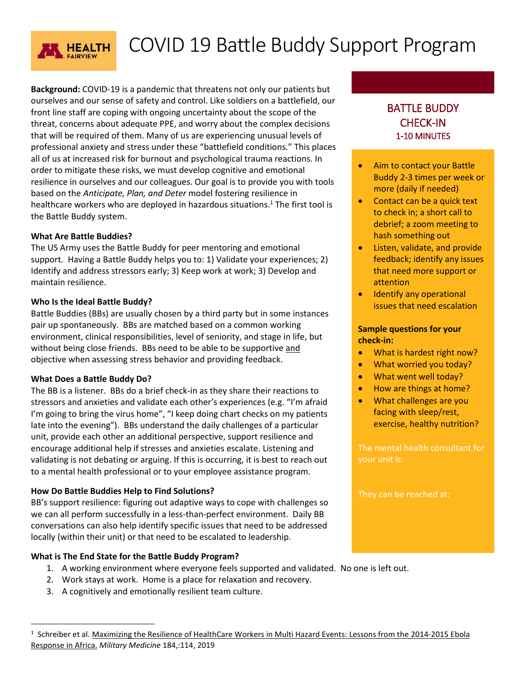

# COVID 19 Battle Buddy Support Program

**Background:** COVID-19 is a pandemic that threatens not only our patients but ourselves and our sense of safety and control. Like soldiers on a battlefield, our front line staff are coping with ongoing uncertainty about the scope of the threat, concerns about adequate PPE, and worry about the complex decisions that will be required of them. Many of us are experiencing unusual levels of professional anxiety and stress under these "battlefield conditions." This places all of us at increased risk for burnout and psychological trauma reactions. In order to mitigate these risks, we must develop cognitive and emotional resilience in ourselves and our colleagues. Our goal is to provide you with tools based on the *Anticipate, Plan, and Deter* model fostering resilience in healthcare workers who are deployed in hazardous situations. <sup>1</sup> The first tool is the Battle Buddy system.

## **What Are Battle Buddies?**

The US Army uses the Battle Buddy for peer mentoring and emotional support. Having a Battle Buddy helps you to: 1) Validate your experiences; 2) Identify and address stressors early; 3) Keep work at work; 3) Develop and maintain resilience.

## **Who Is the Ideal Battle Buddy?**

Battle Buddies (BBs) are usually chosen by a third party but in some instances pair up spontaneously. BBs are matched based on a common working environment, clinical responsibilities, level of seniority, and stage in life, but without being close friends. BBs need to be able to be supportive and objective when assessing stress behavior and providing feedback.

### **What Does a Battle Buddy Do?**

 $\overline{a}$ 

The BB is a listener. BBs do a brief check-in as they share their reactions to stressors and anxieties and validate each other's experiences (e.g. "I'm afraid I'm going to bring the virus home", "I keep doing chart checks on my patients late into the evening"). BBs understand the daily challenges of a particular unit, provide each other an additional perspective, support resilience and encourage additional help if stresses and anxieties escalate. Listening and validating is not debating or arguing. If this is occurring, it is best to reach out to a mental health professional or to your employee assistance program.

## **How Do Battle Buddies Help to Find Solutions?**

BB's support resilience: figuring out adaptive ways to cope with challenges so we can all perform successfully in a less-than-perfect environment. Daily BB conversations can also help identify specific issues that need to be addressed locally (within their unit) or that need to be escalated to leadership.

## **What is The End State for the Battle Buddy Program?**

- 1. A working environment where everyone feels supported and validated. No one is left out.
- 2. Work stays at work. Home is a place for relaxation and recovery.
- 3. A cognitively and emotionally resilient team culture.

## BATTLE BUDDY CHECK-IN 1-10 MINUTES

- Aim to contact your Battle Buddy 2-3 times per week or more (daily if needed)
- Contact can be a quick text to check in; a short call to debrief; a zoom meeting to hash something out
- **.** Listen, validate, and provide feedback; identify any issues that need more support or attention
- Identify any operational issues that need escalation

## **Sample questions for your check-in:**

- What is hardest right now?
- What worried you today?
- What went well today?
- How are things at home?
- What challenges are you facing with sleep/rest, exercise, healthy nutrition?

your unit is:

They can be reached at:

<sup>&</sup>lt;sup>1</sup> Schreiber et al. Maximizing the Resilience of HealthCare Workers in Multi Hazard Events: Lessons from the 2014-2015 Ebola Response in Africa. *Military Medicine* 184,:114, 2019